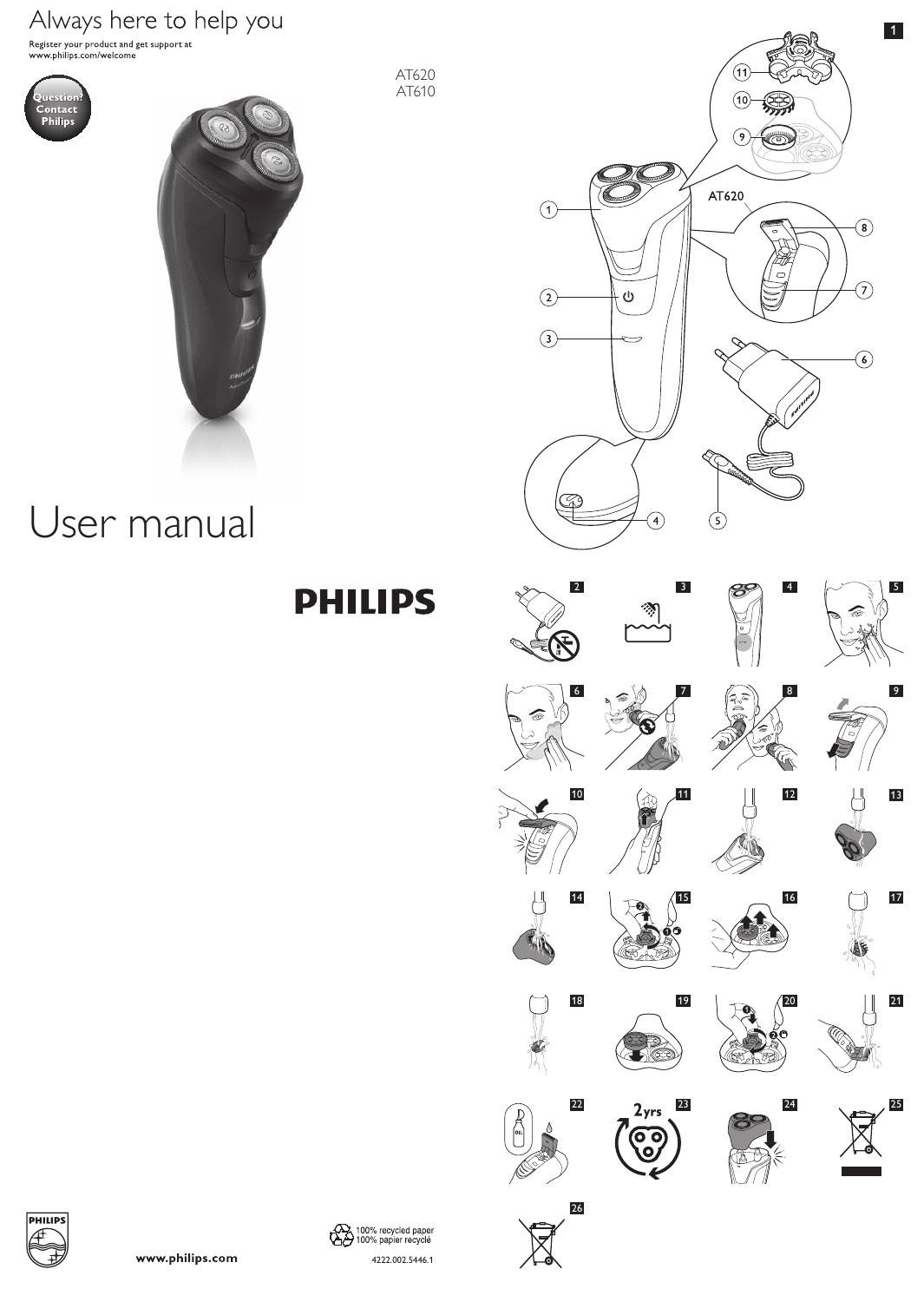# Always here to help you

Register your product and get support at<br>www.philips.com/welcome





User manual

**PHILIPS** 

AT620 AT610







26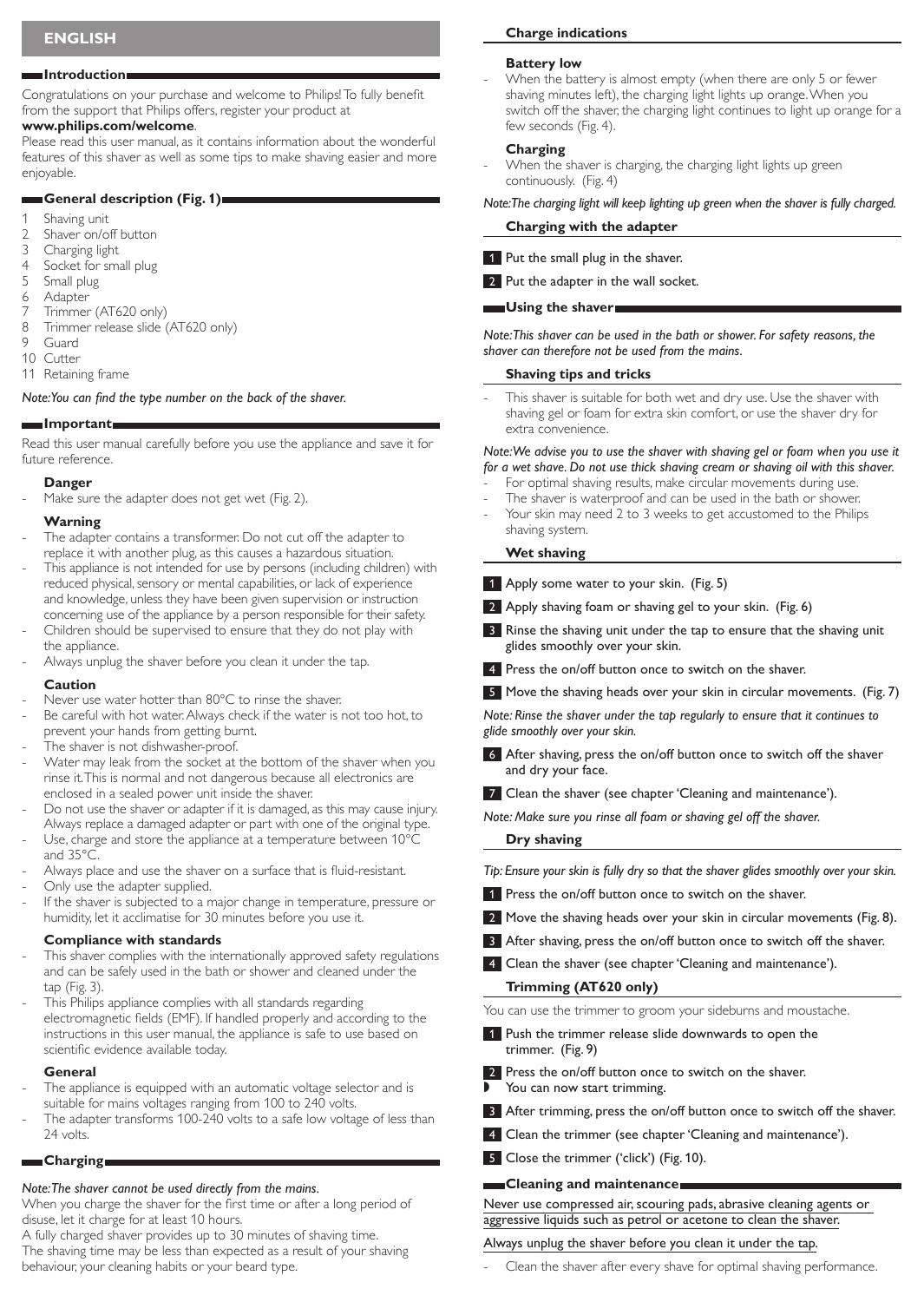#### **Introduction**

Congratulations on your purchase and welcome to Philips! To fully benefit from the support that Philips offers, register your product at

# **www.philips.com/welcome**.

Please read this user manual, as it contains information about the wonderful features of this shaver as well as some tips to make shaving easier and more enjoyable.

### **General description (Fig. 1)**

- 1 Shaving unit
- 2 Shaver on/off button<br>3 Charging light
- Charging light
- 4 Socket for small plug
- 5 Small plug
- 6 Adapter 7 Trimmer (AT620 only)
- 8 Trimmer release slide (AT620 only)
- Guard
- 10 Cutter
- 11 Retaining frame

*Note: You can find the type number on the back of the shaver.*

### **Important**

Read this user manual carefully before you use the appliance and save it for future reference.

#### **Danger**

Make sure the adapter does not get wet (Fig. 2).

### **Warning**

- The adapter contains a transformer. Do not cut off the adapter to replace it with another plug, as this causes a hazardous situation.
- This appliance is not intended for use by persons (including children) with reduced physical, sensory or mental capabilities, or lack of experience and knowledge, unless they have been given supervision or instruction concerning use of the appliance by a person responsible for their safety.
- Children should be supervised to ensure that they do not play with the appliance.
- Always unplug the shaver before you clean it under the tap.

#### **Caution**

- Never use water hotter than 80°C to rinse the shaver.
- Be careful with hot water. Always check if the water is not too hot, to prevent your hands from getting burnt.
- The shaver is not dishwasher-proof.
- Water may leak from the socket at the bottom of the shaver when you rinse it. This is normal and not dangerous because all electronics are enclosed in a sealed power unit inside the shaver.
- Do not use the shaver or adapter if it is damaged, as this may cause injury. Always replace a damaged adapter or part with one of the original type. Use, charge and store the appliance at a temperature between 10°C and 35°C.
- Always place and use the shaver on a surface that is fluid-resistant.
- Only use the adapter supplied.
- If the shaver is subjected to a major change in temperature, pressure or humidity, let it acclimatise for 30 minutes before you use it.

### **Compliance with standards**

- This shaver complies with the internationally approved safety regulations and can be safely used in the bath or shower and cleaned under the tap (Fig. 3).
- This Philips appliance complies with all standards regarding electromagnetic fields (EMF). If handled properly and according to the instructions in this user manual, the appliance is safe to use based on scientific evidence available today.

### **General**

- The appliance is equipped with an automatic voltage selector and is suitable for mains voltages ranging from 100 to 240 volts.
- The adapter transforms 100-240 volts to a safe low voltage of less than 24 volts.

### **Charging**

# *Note: The shaver cannot be used directly from the mains.*

When you charge the shaver for the first time or after a long period of disuse, let it charge for at least 10 hours.

A fully charged shaver provides up to 30 minutes of shaving time. The shaving time may be less than expected as a result of your shaving behaviour, your cleaning habits or your beard type.

### **Charge indications**

#### **Battery low**

When the battery is almost empty (when there are only 5 or fewer shaving minutes left), the charging light lights up orange.When you switch off the shaver, the charging light continues to light up orange for a few seconds (Fig. 4).

### **Charging**

When the shaver is charging, the charging light lights up green continuously. (Fig. 4)

# *Note: The charging light will keep lighting up green when the shaver is fully charged.*

### **Charging with the adapter**

1 Put the small plug in the shaver.

2 Put the adapter in the wall socket.

### **WEB** Using the shaver

*Note: This shaver can be used in the bath or shower. For safety reasons, the shaver can therefore not be used from the mains.*

# **Shaving tips and tricks**

This shaver is suitable for both wet and dry use. Use the shaver with shaving gel or foam for extra skin comfort, or use the shaver dry for extra convenience.

#### *Note: We advise you to use the shaver with shaving gel or foam when you use it for a wet shave. Do not use thick shaving cream or shaving oil with this shaver.*

- For optimal shaving results, make circular movements during use.
- The shaver is waterproof and can be used in the bath or shower.
- Your skin may need 2 to 3 weeks to get accustomed to the Philips shaving system.

### **Wet shaving**

- 1 Apply some water to your skin. (Fig. 5)
- 2 Apply shaving foam or shaving gel to your skin. (Fig. 6)
- Rinse the shaving unit under the tap to ensure that the shaving unit glides smoothly over your skin.
- 4 Press the on/off button once to switch on the shaver.
- 5 Move the shaving heads over your skin in circular movements. (Fig. 7)

*Note: Rinse the shaver under the tap regularly to ensure that it continues to glide smoothly over your skin.*

- After shaving, press the on/off button once to switch off the shaver and dry your face.
- 7 Clean the shaver (see chapter 'Cleaning and maintenance').

*Note: Make sure you rinse all foam or shaving gel off the shaver.* 

### **Dry shaving**

*Tip: Ensure your skin is fully dry so that the shaver glides smoothly over your skin.*

- 1 Press the on/off button once to switch on the shaver.
- 2 Move the shaving heads over your skin in circular movements (Fig. 8).
- 3 After shaving, press the on/off button once to switch off the shaver.
- 4 Clean the shaver (see chapter 'Cleaning and maintenance').

### **Trimming (AT620 only)**

You can use the trimmer to groom your sideburns and moustache.

- 1 Push the trimmer release slide downwards to open the trimmer. (Fig. 9)
- 2 Press the on/off button once to switch on the shaver.
- You can now start trimming.
- 3 After trimming, press the on/off button once to switch off the shaver.
- 4 Clean the trimmer (see chapter 'Cleaning and maintenance').
- 5 Close the trimmer ('click') (Fig. 10).

### **Cleaning and maintenance**

Never use compressed air, scouring pads, abrasive cleaning agents or aggressive liquids such as petrol or acetone to clean the shaver.

### Always unplug the shaver before you clean it under the tap.

Clean the shaver after every shave for optimal shaving performance.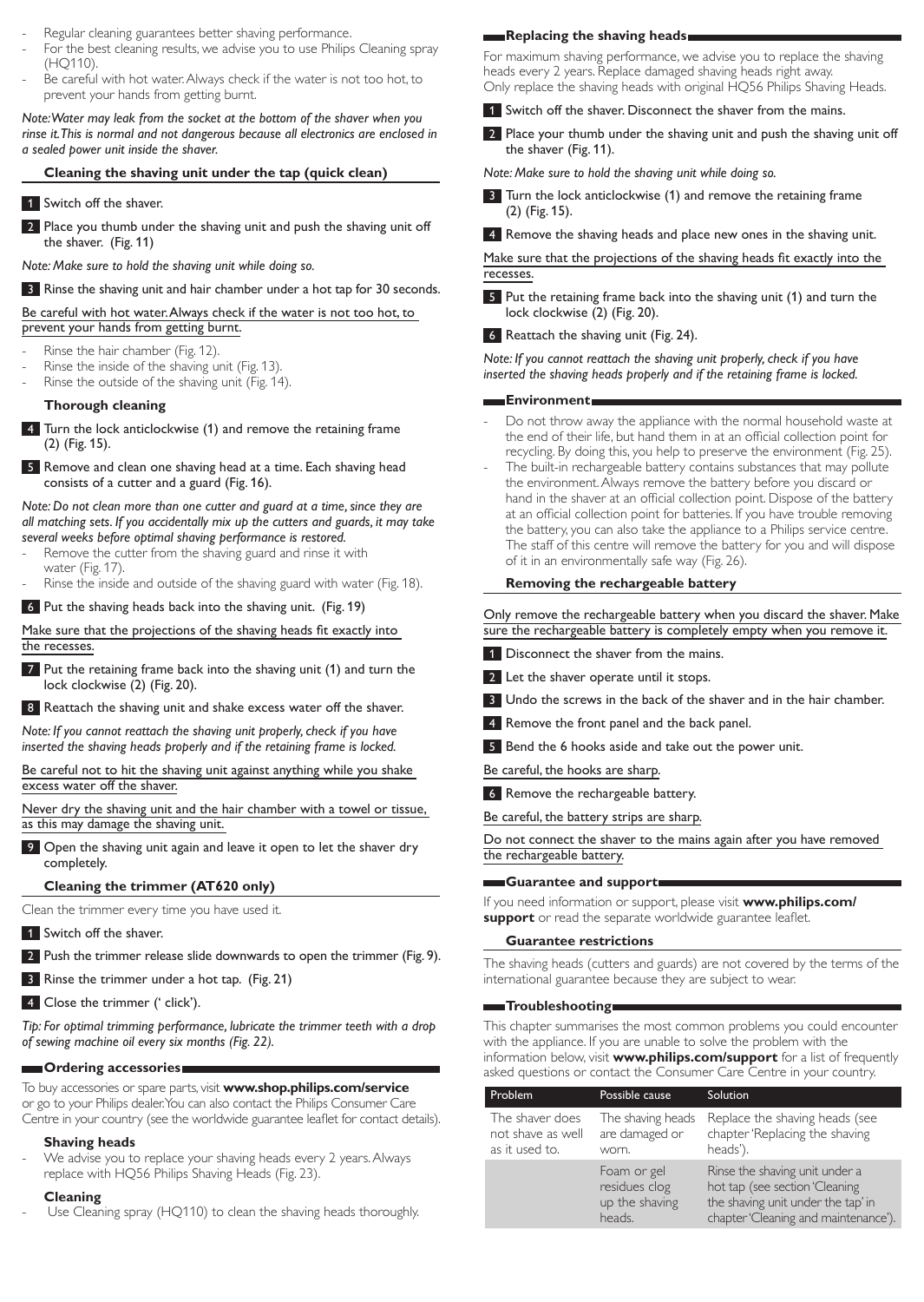- Regular cleaning guarantees better shaving performance.
- For the best cleaning results, we advise you to use Philips Cleaning spray (HQ110).
- Be careful with hot water. Always check if the water is not too hot, to prevent your hands from getting burnt.

*Note: Water may leak from the socket at the bottom of the shaver when you rinse it. This is normal and not dangerous because all electronics are enclosed in a sealed power unit inside the shaver.*

# **Cleaning the shaving unit under the tap (quick clean)**

# 1 Switch off the shaver.

2 Place you thumb under the shaving unit and push the shaving unit off the shaver. (Fig. 11)

*Note: Make sure to hold the shaving unit while doing so.*

3 Rinse the shaving unit and hair chamber under a hot tap for 30 seconds.

Be careful with hot water. Always check if the water is not too hot, to prevent your hands from getting burnt.

- Rinse the hair chamber (Fig. 12).
- Rinse the inside of the shaving unit (Fig. 13).
- Rinse the outside of the shaving unit (Fig. 14).

# **Thorough cleaning**

- 4 Turn the lock anticlockwise (1) and remove the retaining frame (2) (Fig. 15).
- 5 Remove and clean one shaving head at a time. Each shaving head consists of a cutter and a guard (Fig. 16).

*Note: Do not clean more than one cutter and guard at a time, since they are all matching sets. If you accidentally mix up the cutters and guards, it may take several weeks before optimal shaving performance is restored.*

- Remove the cutter from the shaving guard and rinse it with water (Fig. 17).
- Rinse the inside and outside of the shaving guard with water (Fig. 18).

6 Put the shaving heads back into the shaving unit. (Fig. 19)

Make sure that the projections of the shaving heads fit exactly into the recesses.

7 Put the retaining frame back into the shaving unit (1) and turn the lock clockwise (2) (Fig. 20).

8 Reattach the shaving unit and shake excess water off the shaver.

*Note: If you cannot reattach the shaving unit properly, check if you have inserted the shaving heads properly and if the retaining frame is locked.*

Be careful not to hit the shaving unit against anything while you shake excess water off the shaver.

Never dry the shaving unit and the hair chamber with a towel or tissue, as this may damage the shaving unit.

9 Open the shaving unit again and leave it open to let the shaver dry completely.

# **Cleaning the trimmer (AT620 only)**

Clean the trimmer every time you have used it.

- **1** Switch off the shaver.
- 2 Push the trimmer release slide downwards to open the trimmer (Fig. 9).

**3** Rinse the trimmer under a hot tap. (Fig. 21)

4 Close the trimmer (' click').

*Tip: For optimal trimming performance, lubricate the trimmer teeth with a drop of sewing machine oil every six months (Fig. 22).*

# **Ordering accessories**

To buy accessories or spare parts, visit **www.shop.philips.com/service** or go to your Philips dealer. You can also contact the Philips Consumer Care Centre in your country (see the worldwide guarantee leaflet for contact details).

# **Shaving heads**

We advise you to replace your shaving heads every 2 years. Always replace with HQ56 Philips Shaving Heads (Fig. 23).

### **Cleaning**

Use Cleaning spray (HQ110) to clean the shaving heads thoroughly.

# **Replacing the shaving heads**

For maximum shaving performance, we advise you to replace the shaving heads every 2 years. Replace damaged shaving heads right away. Only replace the shaving heads with original HQ56 Philips Shaving Heads.

- 1 Switch off the shaver. Disconnect the shaver from the mains.
- 2 Place your thumb under the shaving unit and push the shaving unit off the shaver (Fig. 11).

*Note: Make sure to hold the shaving unit while doing so.*

3 Turn the lock anticlockwise (1) and remove the retaining frame (2) (Fig. 15).

4 Remove the shaving heads and place new ones in the shaving unit.

Make sure that the projections of the shaving heads fit exactly into the recesses.

5 Put the retaining frame back into the shaving unit (1) and turn the lock clockwise (2) (Fig. 20).

6 Reattach the shaving unit (Fig. 24).

*Note: If you cannot reattach the shaving unit properly, check if you have inserted the shaving heads properly and if the retaining frame is locked.*

# **Environment**

- Do not throw away the appliance with the normal household waste at the end of their life, but hand them in at an official collection point for recycling. By doing this, you help to preserve the environment (Fig. 25).
- The built-in rechargeable battery contains substances that may pollute the environment. Always remove the battery before you discard or hand in the shaver at an official collection point. Dispose of the battery at an official collection point for batteries. If you have trouble removing the battery, you can also take the appliance to a Philips service centre. The staff of this centre will remove the battery for you and will dispose of it in an environmentally safe way (Fig. 26).

# **Removing the rechargeable battery**

Only remove the rechargeable battery when you discard the shaver. Make sure the rechargeable battery is completely empty when you remove it.

- 1 Disconnect the shaver from the mains.
- 2 Let the shaver operate until it stops.
- 3 Undo the screws in the back of the shaver and in the hair chamber.
- 4 Remove the front panel and the back panel.
- 5 Bend the 6 hooks aside and take out the power unit.

Be careful, the hooks are sharp.

6 Remove the rechargeable battery.

Be careful, the battery strips are sharp.

Do not connect the shaver to the mains again after you have removed the rechargeable battery.

# **Guarantee and support**

If you need information or support, please visit **www.philips.com/ support** or read the separate worldwide guarantee leaflet.

# **Guarantee restrictions**

The shaving heads (cutters and guards) are not covered by the terms of the international guarantee because they are subject to wear.

# **Troubleshooting**

This chapter summarises the most common problems you could encounter with the appliance. If you are unable to solve the problem with the information below, visit **www.philips.com/support** for a list of frequently asked questions or contact the Consumer Care Centre in your country.

| Problem                                                | Possible cause                                           | Solution                                                                                                                                       |
|--------------------------------------------------------|----------------------------------------------------------|------------------------------------------------------------------------------------------------------------------------------------------------|
| The shaver does<br>not shave as well<br>as it used to. | The shaving heads<br>are damaged or<br>worn.             | Replace the shaving heads (see<br>chapter 'Replacing the shaving<br>heads').                                                                   |
|                                                        | Foam or gel<br>residues clog<br>up the shaving<br>heads. | Rinse the shaving unit under a<br>hot tap (see section 'Cleaning<br>the shaving unit under the tap' in<br>chapter 'Cleaning and maintenance'). |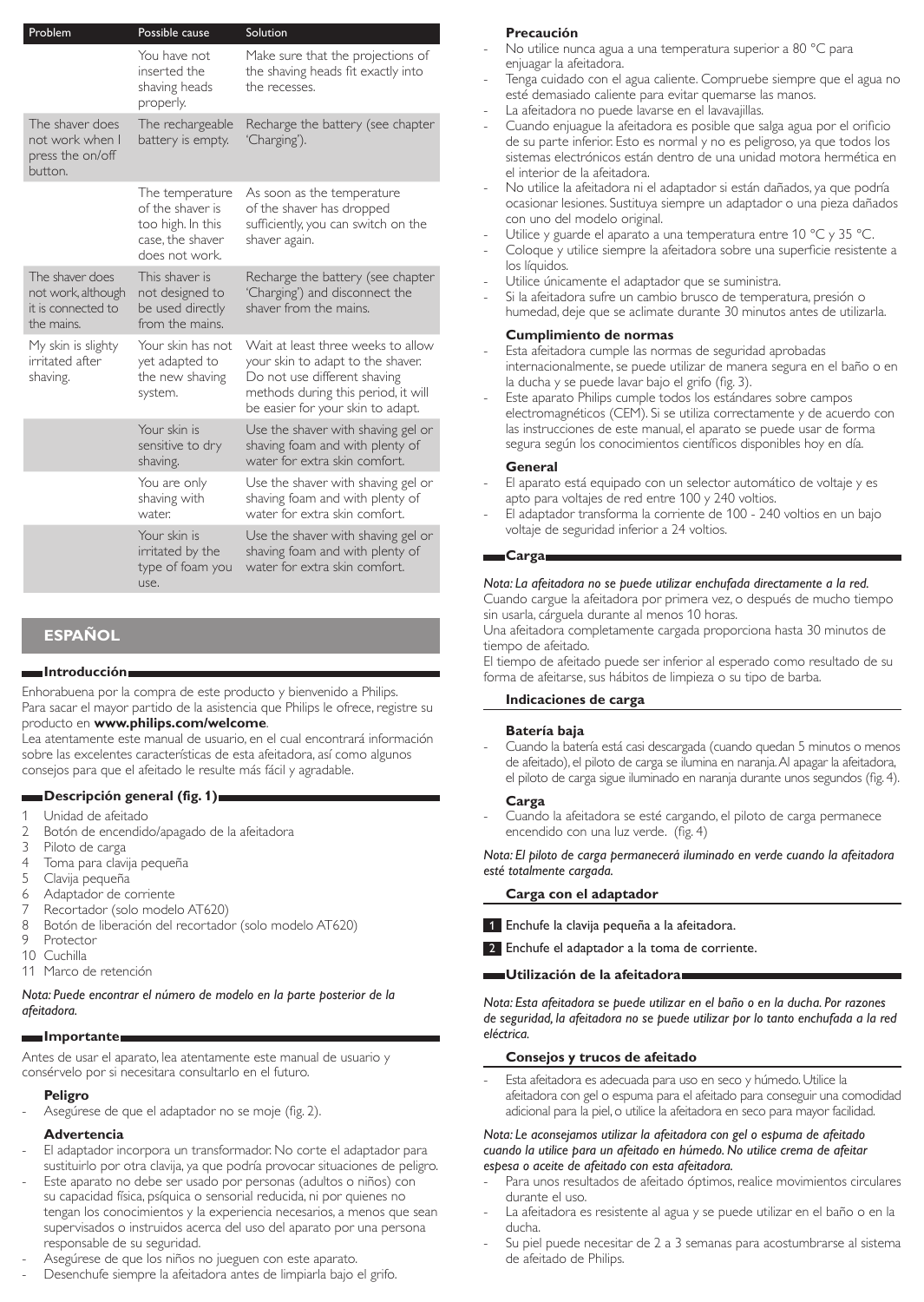| Problem                                                                   | Possible cause                                                                                 | Solution                                                                                                                                                                            |
|---------------------------------------------------------------------------|------------------------------------------------------------------------------------------------|-------------------------------------------------------------------------------------------------------------------------------------------------------------------------------------|
|                                                                           | You have not<br>inserted the<br>shaving heads<br>properly.                                     | Make sure that the projections of<br>the shaving heads fit exactly into<br>the recesses.                                                                                            |
| The shaver does<br>not work when I<br>press the on/off<br>button.         | The rechargeable<br>battery is empty.                                                          | Recharge the battery (see chapter<br>'Charging').                                                                                                                                   |
|                                                                           | The temperature<br>of the shaver is<br>too high. In this<br>case, the shaver<br>does not work. | As soon as the temperature<br>of the shaver has dropped<br>sufficiently, you can switch on the<br>shaver again.                                                                     |
| The shaver does<br>not work, although<br>it is connected to<br>the mains. | This shaver is<br>not designed to<br>be used directly<br>from the mains.                       | Recharge the battery (see chapter<br>'Charging') and disconnect the<br>shaver from the mains.                                                                                       |
| My skin is slighty<br>irritated after<br>shaving.                         | Your skin has not<br>yet adapted to<br>the new shaving<br>system.                              | Wait at least three weeks to allow<br>your skin to adapt to the shaver.<br>Do not use different shaving<br>methods during this period, it will<br>be easier for your skin to adapt. |
|                                                                           | Your skin is<br>sensitive to dry<br>shaving.                                                   | Use the shaver with shaving gel or<br>shaving foam and with plenty of<br>water for extra skin comfort.                                                                              |
|                                                                           | You are only<br>shaving with<br>water.                                                         | Use the shaver with shaving gel or<br>shaving foam and with plenty of<br>water for extra skin comfort.                                                                              |
|                                                                           | Your skin is<br>irritated by the<br>type of foam you<br>use.                                   | Use the shaver with shaving gel or<br>shaving foam and with plenty of<br>water for extra skin comfort.                                                                              |

# **Español**

### **Introducción**

Enhorabuena por la compra de este producto y bienvenido a Philips. Para sacar el mayor partido de la asistencia que Philips le ofrece, registre su producto en **www.philips.com/welcome**.

Lea atentamente este manual de usuario, en el cual encontrará información sobre las excelentes características de esta afeitadora, así como algunos consejos para que el afeitado le resulte más fácil y agradable.

### **Descripción general (fig. 1)**

- 1 Unidad de afeitado<br>2 Botón de encendid
- 2 Botón de encendido/apagado de la afeitadora<br>3 Piloto de carga
- 3 Piloto de carga<br>4 Toma para clav
- 4 Toma para clavija pequeña<br>5 Clavija pequeña
- 5 Clavija pequeña<br>6 Adaptador de o
- Adaptador de corriente
- 7 Recortador (solo modelo AT620)<br>8 Rotón de liberación del recortado
- 8 Botón de liberación del recortador (solo modelo AT620)<br>9 Protector
- Protector
- 10 Cuchilla
- 11 Marco de retención

### *Nota: Puede encontrar el número de modelo en la parte posterior de la afeitadora.*

# **Importante**

Antes de usar el aparato, lea atentamente este manual de usuario y consérvelo por si necesitara consultarlo en el futuro.

### **Peligro**

Asegúrese de que el adaptador no se moje (fig. 2).

### **Advertencia**

- El adaptador incorpora un transformador. No corte el adaptador para sustituirlo por otra clavija, ya que podría provocar situaciones de peligro.
- Este aparato no debe ser usado por personas (adultos o niños) con su capacidad física, psíquica o sensorial reducida, ni por quienes no tengan los conocimientos y la experiencia necesarios, a menos que sean supervisados o instruidos acerca del uso del aparato por una persona responsable de su seguridad.
- Asegúrese de que los niños no jueguen con este aparato.
- Desenchufe siempre la afeitadora antes de limpiarla bajo el grifo.

### **Precaución**

- No utilice nunca agua a una temperatura superior a 80 °C para enjuagar la afeitadora.
- Tenga cuidado con el agua caliente. Compruebe siempre que el agua no esté demasiado caliente para evitar quemarse las manos.
- La afeitadora no puede lavarse en el lavavajillas.
- Cuando enjuague la afeitadora es posible que salga agua por el orificio de su parte inferior. Esto es normal y no es peligroso, ya que todos los sistemas electrónicos están dentro de una unidad motora hermética en el interior de la afeitadora.
- No utilice la afeitadora ni el adaptador si están dañados, ya que podría ocasionar lesiones. Sustituya siempre un adaptador o una pieza dañados con uno del modelo original.
- Utilice y guarde el aparato a una temperatura entre 10 °C y 35 °C.
- Coloque y utilice siempre la afeitadora sobre una superficie resistente a los líquidos.
- Utilice únicamente el adaptador que se suministra.
- Si la afeitadora sufre un cambio brusco de temperatura, presión o humedad, deje que se aclimate durante 30 minutos antes de utilizarla.

### **Cumplimiento de normas**

- Esta afeitadora cumple las normas de seguridad aprobadas internacionalmente, se puede utilizar de manera segura en el baño o en la ducha y se puede lavar bajo el grifo (fig. 3).
- Este aparato Philips cumple todos los estándares sobre campos electromagnéticos (CEM). Si se utiliza correctamente y de acuerdo con las instrucciones de este manual, el aparato se puede usar de forma segura según los conocimientos científicos disponibles hoy en día.

#### **General**

- El aparato está equipado con un selector automático de voltaje y es apto para voltajes de red entre 100 y 240 voltios.
- El adaptador transforma la corriente de 100 240 voltios en un bajo voltaje de seguridad inferior a 24 voltios.

### **Carga**

### *Nota: La afeitadora no se puede utilizar enchufada directamente a la red.*

Cuando cargue la afeitadora por primera vez, o después de mucho tiempo sin usarla, cárguela durante al menos 10 horas.

Una afeitadora completamente cargada proporciona hasta 30 minutos de tiempo de afeitado.

El tiempo de afeitado puede ser inferior al esperado como resultado de su forma de afeitarse, sus hábitos de limpieza o su tipo de barba.

### **Indicaciones de carga**

### **Batería baja**

Cuando la batería está casi descargada (cuando quedan 5 minutos o menos de afeitado), el piloto de carga se ilumina en naranja.Al apagar la afeitadora, el piloto de carga sigue iluminado en naranja durante unos segundos (fig. 4).

### **Carga**

Cuando la afeitadora se esté cargando, el piloto de carga permanece encendido con una luz verde. (fig. 4)

*Nota: El piloto de carga permanecerá iluminado en verde cuando la afeitadora esté totalmente cargada.*

### **Carga con el adaptador**

1 Enchufe la clavija pequeña a la afeitadora.

2 Enchufe el adaptador a la toma de corriente.

### **Utilización de la afeitadora**

*Nota: Esta afeitadora se puede utilizar en el baño o en la ducha. Por razones de seguridad, la afeitadora no se puede utilizar por lo tanto enchufada a la red eléctrica.*

### **Consejos y trucos de afeitado**

Esta afeitadora es adecuada para uso en seco y húmedo. Utilice la afeitadora con gel o espuma para el afeitado para conseguir una comodidad adicional para la piel, o utilice la afeitadora en seco para mayor facilidad.

#### *Nota: Le aconsejamos utilizar la afeitadora con gel o espuma de afeitado cuando la utilice para un afeitado en húmedo. No utilice crema de afeitar espesa o aceite de afeitado con esta afeitadora.*

- Para unos resultados de afeitado óptimos, realice movimientos circulares durante el uso.
- La afeitadora es resistente al agua y se puede utilizar en el baño o en la ducha.
- Su piel puede necesitar de 2 a 3 semanas para acostumbrarse al sistema de afeitado de Philips.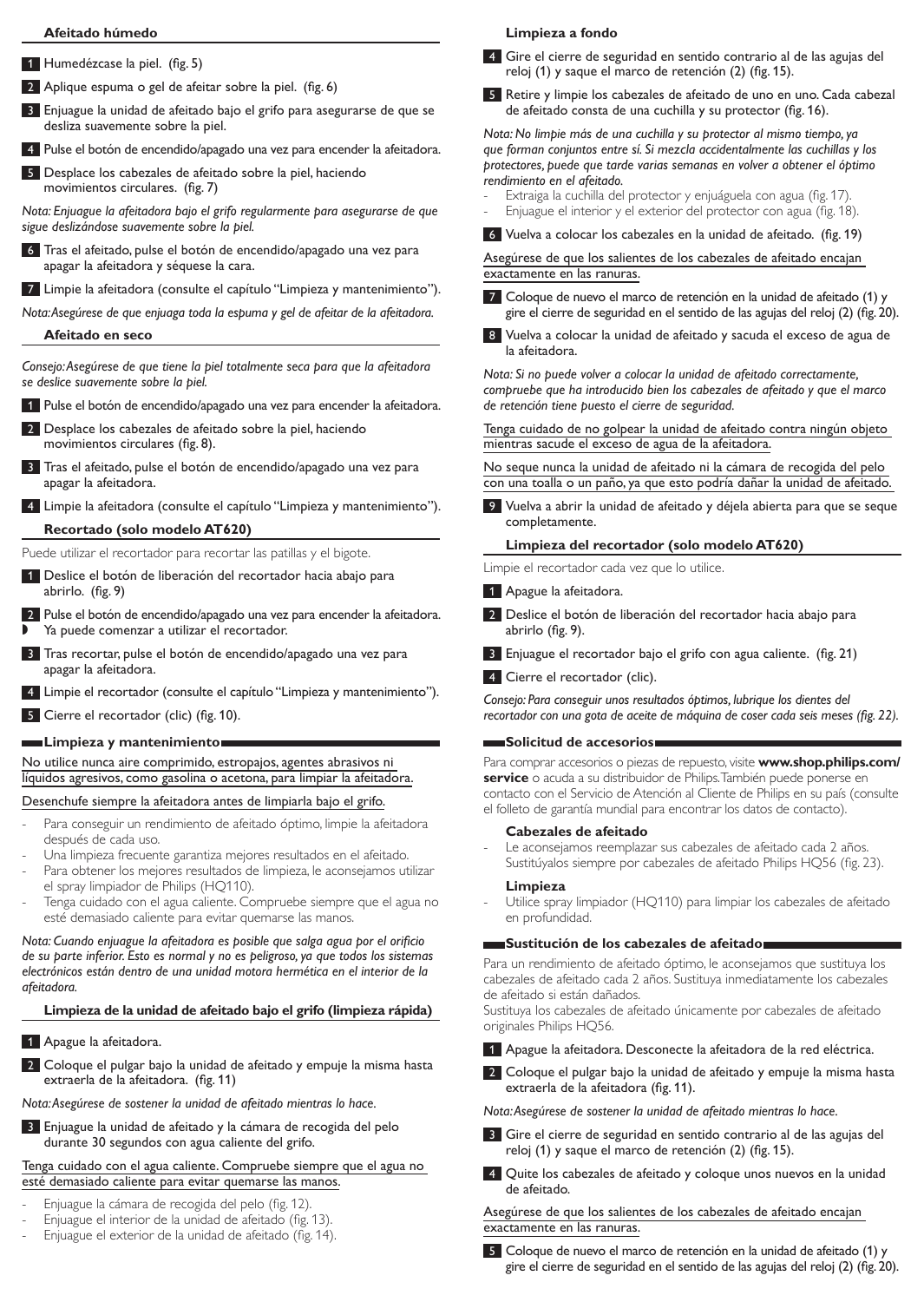#### **Afeitado húmedo**

- 1 Humedézcase la piel. (fig. 5)
- 2 Aplique espuma o gel de afeitar sobre la piel. (fig. 6)
- 3 Enjuague la unidad de afeitado bajo el grifo para asegurarse de que se desliza suavemente sobre la piel.
- 4 Pulse el botón de encendido/apagado una vez para encender la afeitadora.
- 5 Desplace los cabezales de afeitado sobre la piel, haciendo movimientos circulares. (fig. 7)

*Nota: Enjuague la afeitadora bajo el grifo regularmente para asegurarse de que sigue deslizándose suavemente sobre la piel.*

- 6 Tras el afeitado, pulse el botón de encendido/apagado una vez para apagar la afeitadora y séquese la cara.
- 7 Limpie la afeitadora (consulte el capítulo "Limpieza y mantenimiento").

*Nota: Asegúrese de que enjuaga toda la espuma y gel de afeitar de la afeitadora.* 

### **Afeitado en seco**

*Consejo: Asegúrese de que tiene la piel totalmente seca para que la afeitadora se deslice suavemente sobre la piel.*

- 1 Pulse el botón de encendido/apagado una vez para encender la afeitadora.
- 2 Desplace los cabezales de afeitado sobre la piel, haciendo movimientos circulares (fig. 8).
- 3 Tras el afeitado, pulse el botón de encendido/apagado una vez para apagar la afeitadora.
- 4 Limpie la afeitadora (consulte el capítulo "Limpieza y mantenimiento").

### **Recortado (solo modelo AT620)**

Puede utilizar el recortador para recortar las patillas y el bigote.

- 1 Deslice el botón de liberación del recortador hacia abajo para abrirlo. (fig. 9)
- 2 Pulse el botón de encendido/apagado una vez para encender la afeitadora.
- Ya puede comenzar a utilizar el recortador.
- 3 Tras recortar, pulse el botón de encendido/apagado una vez para apagar la afeitadora.
- Limpie el recortador (consulte el capítulo "Limpieza y mantenimiento").
- 5 Cierre el recortador (clic) (fig. 10).

### **Limpieza y mantenimiento**

No utilice nunca aire comprimido, estropajos, agentes abrasivos ni líquidos agresivos, como gasolina o acetona, para limpiar la afeitadora.

Desenchufe siempre la afeitadora antes de limpiarla bajo el grifo.

- Para conseguir un rendimiento de afeitado óptimo, limpie la afeitadora después de cada uso.
- Una limpieza frecuente garantiza mejores resultados en el afeitado.
- Para obtener los mejores resultados de limpieza, le aconsejamos utilizar el spray limpiador de Philips (HQ110).
- Tenga cuidado con el agua caliente. Compruebe siempre que el agua no esté demasiado caliente para evitar quemarse las manos.

*Nota: Cuando enjuague la afeitadora es posible que salga agua por el orificio de su parte inferior. Esto es normal y no es peligroso, ya que todos los sistemas electrónicos están dentro de una unidad motora hermética en el interior de la afeitadora.*

# **Limpieza de la unidad de afeitado bajo el grifo (limpieza rápida)**

- 1 Apague la afeitadora.
- 2 Coloque el pulgar bajo la unidad de afeitado y empuje la misma hasta extraerla de la afeitadora. (fig. 11)

*Nota: Asegúrese de sostener la unidad de afeitado mientras lo hace.*

3 Enjuague la unidad de afeitado y la cámara de recogida del pelo durante 30 segundos con agua caliente del grifo.

# Tenga cuidado con el agua caliente. Compruebe siempre que el agua no esté demasiado caliente para evitar quemarse las manos.

- Enjuague la cámara de recogida del pelo (fig. 12).
- Enjuague el interior de la unidad de afeitado (fig. 13).
- Enjuague el exterior de la unidad de afeitado (fig. 14).

### **Limpieza a fondo**

- 4 Gire el cierre de seguridad en sentido contrario al de las agujas del reloj (1) y saque el marco de retención (2) (fig. 15).
- 5 Retire y limpie los cabezales de afeitado de uno en uno. Cada cabezal de afeitado consta de una cuchilla y su protector (fig. 16).

*Nota: No limpie más de una cuchilla y su protector al mismo tiempo, ya que forman conjuntos entre sí. Si mezcla accidentalmente las cuchillas y los protectores, puede que tarde varias semanas en volver a obtener el óptimo rendimiento en el afeitado.*

Extraiga la cuchilla del protector y enjuáguela con agua (fig. 17).

Enjuague el interior y el exterior del protector con agua (fig. 18). 6 Vuelva a colocar los cabezales en la unidad de afeitado. (fig. 19)

Asegúrese de que los salientes de los cabezales de afeitado encajan exactamente en las ranuras.

7 Coloque de nuevo el marco de retención en la unidad de afeitado (1) y gire el cierre de seguridad en el sentido de las agujas del reloj (2) (fig. 20).

8 Vuelva a colocar la unidad de afeitado y sacuda el exceso de agua de la afeitadora.

*Nota: Si no puede volver a colocar la unidad de afeitado correctamente, compruebe que ha introducido bien los cabezales de afeitado y que el marco de retención tiene puesto el cierre de seguridad.*

Tenga cuidado de no golpear la unidad de afeitado contra ningún objeto mientras sacude el exceso de agua de la afeitadora.

No seque nunca la unidad de afeitado ni la cámara de recogida del pelo con una toalla o un paño, ya que esto podría dañar la unidad de afeitado.

9 Vuelva a abrir la unidad de afeitado y déjela abierta para que se seque completamente.

### **Limpieza del recortador (solo modelo AT620)**

Limpie el recortador cada vez que lo utilice.

1 Apague la afeitadora.

- 2 Deslice el botón de liberación del recortador hacia abajo para abrirlo (fig. 9).
- 3 Enjuague el recortador bajo el grifo con agua caliente. (fig. 21)

4 Cierre el recortador (clic).

*Consejo: Para conseguir unos resultados óptimos, lubrique los dientes del recortador con una gota de aceite de máquina de coser cada seis meses (fig. 22).*

### **Solicitud de accesorios**

Para comprar accesorios o piezas de repuesto, visite **www.shop.philips.com/ service** o acuda a su distribuidor de Philips. También puede ponerse en contacto con el Servicio de Atención al Cliente de Philips en su país (consulte el folleto de garantía mundial para encontrar los datos de contacto).

### **Cabezales de afeitado**

Le aconsejamos reemplazar sus cabezales de afeitado cada 2 años. Sustitúyalos siempre por cabezales de afeitado Philips HQ56 (fig. 23).

### **Limpieza**

Utilice spray limpiador (HQ110) para limpiar los cabezales de afeitado en profundidad.

### **Sustitución de los cabezales de afeitado**

Para un rendimiento de afeitado óptimo, le aconsejamos que sustituya los cabezales de afeitado cada 2 años. Sustituya inmediatamente los cabezales de afeitado si están dañados.

Sustituya los cabezales de afeitado únicamente por cabezales de afeitado originales Philips HQ56.

1 Apague la afeitadora. Desconecte la afeitadora de la red eléctrica.

2 Coloque el pulgar bajo la unidad de afeitado y empuje la misma hasta extraerla de la afeitadora (fig. 11).

*Nota: Asegúrese de sostener la unidad de afeitado mientras lo hace.*

- 3 Gire el cierre de seguridad en sentido contrario al de las agujas del reloj (1) y saque el marco de retención (2) (fig. 15).
- 4 Quite los cabezales de afeitado y coloque unos nuevos en la unidad de afeitado.

Asegúrese de que los salientes de los cabezales de afeitado encajan exactamente en las ranuras.

5 Coloque de nuevo el marco de retención en la unidad de afeitado (1) y gire el cierre de seguridad en el sentido de las agujas del reloj (2) (fig. 20).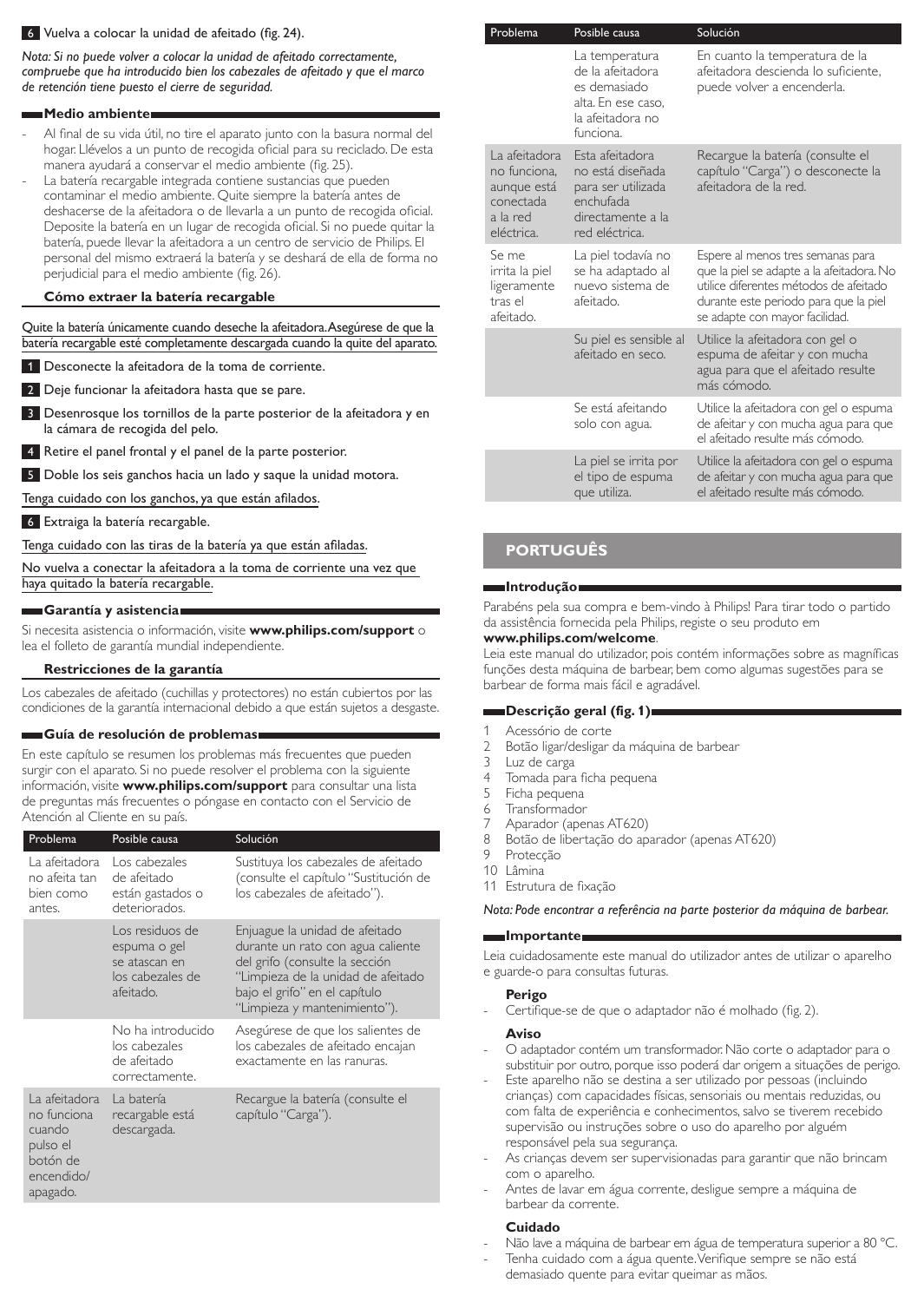### 6 Vuelva a colocar la unidad de afeitado (fig. 24).

*Nota: Si no puede volver a colocar la unidad de afeitado correctamente, compruebe que ha introducido bien los cabezales de afeitado y que el marco de retención tiene puesto el cierre de seguridad.*

#### **Medio ambiente**

- Al final de su vida útil, no tire el aparato junto con la basura normal del hogar. Llévelos a un punto de recogida oficial para su reciclado. De esta manera ayudará a conservar el medio ambiente (fig. 25).
- La batería recargable integrada contiene sustancias que pueden contaminar el medio ambiente. Quite siempre la batería antes de deshacerse de la afeitadora o de llevarla a un punto de recogida oficial. Deposite la batería en un lugar de recogida oficial. Si no puede quitar la batería, puede llevar la afeitadora a un centro de servicio de Philips. El personal del mismo extraerá la batería y se deshará de ella de forma no perjudicial para el medio ambiente (fig. 26).

### **Cómo extraer la batería recargable**

#### Quite la batería únicamente cuando deseche la afeitadora. Asegúrese de que la batería recargable esté completamente descargada cuando la quite del aparato.

- 1 Desconecte la afeitadora de la toma de corriente.
- 2 Deje funcionar la afeitadora hasta que se pare.
- 3 Desenrosque los tornillos de la parte posterior de la afeitadora y en la cámara de recogida del pelo.
- 4 Retire el panel frontal y el panel de la parte posterior.
- 5 Doble los seis ganchos hacia un lado y saque la unidad motora.

Tenga cuidado con los ganchos, ya que están afilados.

6 Extraiga la batería recargable.

Tenga cuidado con las tiras de la batería ya que están afiladas.

No vuelva a conectar la afeitadora a la toma de corriente una vez que haya quitado la batería recargable.

#### **Garantía y asistencia**

Si necesita asistencia o información, visite **www.philips.com/support** o lea el folleto de garantía mundial independiente.

### **Restricciones de la garantía**

Los cabezales de afeitado (cuchillas y protectores) no están cubiertos por las condiciones de la garantía internacional debido a que están sujetos a desgaste.

#### **Guía de resolución de problemas**

En este capítulo se resumen los problemas más frecuentes que pueden surgir con el aparato. Si no puede resolver el problema con la siguiente información, visite **www.philips.com/support** para consultar una lista de preguntas más frecuentes o póngase en contacto con el Servicio de Atención al Cliente en su país.

| Problema                                                                                 | Posible causa                                                                     | Solución                                                                                                                                                                                                     |
|------------------------------------------------------------------------------------------|-----------------------------------------------------------------------------------|--------------------------------------------------------------------------------------------------------------------------------------------------------------------------------------------------------------|
| La afeitadora<br>no afeita tan<br>bien como<br>antes.                                    | Los cabezales<br>de afeitado<br>están gastados o<br>deteriorados.                 | Sustituya los cabezales de afeitado<br>(consulte el capítulo "Sustitución de<br>los cabezales de afeitado").                                                                                                 |
|                                                                                          | Los residuos de<br>espuma o gel<br>se atascan en<br>los cabezales de<br>afeitado. | Enjuague la unidad de afeitado<br>durante un rato con agua caliente<br>del grifo (consulte la sección<br>"Limpieza de la unidad de afeitado<br>bajo el grifo" en el capítulo<br>"Limpieza y mantenimiento"). |
|                                                                                          | No ha introducido<br>los cabezales<br>de afeitado<br>correctamente.               | Asegúrese de que los salientes de<br>los cabezales de afeitado encajan<br>exactamente en las ranuras.                                                                                                        |
| La afeitadora<br>no funciona<br>cuando<br>pulso el<br>botón de<br>encendido/<br>apagado. | La batería<br>recargable está<br>descargada.                                      | Recargue la batería (consulte el<br>capítulo "Carga").                                                                                                                                                       |

| Problema                                                                            | Posible causa                                                                                                 | Solución                                                                                                                                                                                            |
|-------------------------------------------------------------------------------------|---------------------------------------------------------------------------------------------------------------|-----------------------------------------------------------------------------------------------------------------------------------------------------------------------------------------------------|
|                                                                                     | La temperatura<br>de la afeitadora<br>es demasiado<br>alta. En ese caso,<br>la afeitadora no<br>funciona.     | En cuanto la temperatura de la<br>afeitadora descienda lo suficiente,<br>puede volver a encenderla.                                                                                                 |
| La afeitadora<br>no funciona,<br>aunque está<br>conectada<br>a la red<br>eléctrica. | Esta afeitadora<br>no está diseñada<br>para ser utilizada<br>enchufada<br>directamente a la<br>red eléctrica. | Recargue la batería (consulte el<br>capítulo "Carga") o desconecte la<br>afeitadora de la red.                                                                                                      |
| Se me<br>irrita la piel<br>ligeramente<br>tras el<br>afeitado.                      | La piel todavía no<br>se ha adaptado al<br>nuevo sistema de<br>afeitado.                                      | Espere al menos tres semanas para<br>que la piel se adapte a la afeitadora. No<br>utilice diferentes métodos de afeitado<br>durante este periodo para que la piel<br>se adapte con mayor facilidad. |
|                                                                                     | Su piel es sensible al<br>afeitado en seco.                                                                   | Utilice la afeitadora con gel o<br>espuma de afeitar y con mucha<br>agua para que el afeitado resulte<br>más cómodo.                                                                                |
|                                                                                     | Se está afeitando<br>solo con agua.                                                                           | Utilice la afeitadora con gel o espuma<br>de afeitar y con mucha agua para que<br>el afeitado resulte más cómodo.                                                                                   |
|                                                                                     | La piel se irrita por<br>el tipo de espuma<br>que utiliza.                                                    | Utilice la afeitadora con gel o espuma<br>de afeitar y con mucha agua para que<br>el afeitado resulte más cómodo.                                                                                   |

# **Português**

### **Introdução**

Parabéns pela sua compra e bem-vindo à Philips! Para tirar todo o partido da assistência fornecida pela Philips, registe o seu produto em

### **www.philips.com/welcome**.

Leia este manual do utilizador, pois contém informações sobre as magníficas funções desta máquina de barbear, bem como algumas sugestões para se barbear de forma mais fácil e agradável.

# **Descrição geral (fig. 1)**

- 1 Acessório de corte<br>2 Botão ligar/desligar
- 2 Botão ligar/desligar da máquina de barbear<br>3 Luz de carga
- 3 Luz de carga<br>4 Tomada para
- 4 Tomada para ficha pequena<br>5 Ficha pequena
- 5 Ficha pequena<br>6 Transformador
- 6 Transformador
- Aparador (apenas AT620)
- 8 Botão de libertação do aparador (apenas AT620)
- Proteccão 10 Lâmina
- 11 Estrutura de fixação

*Nota: Pode encontrar a referência na parte posterior da máquina de barbear.*

### **Importante**

Leia cuidadosamente este manual do utilizador antes de utilizar o aparelho e guarde-o para consultas futuras.

#### **Perigo**

Certifique-se de que o adaptador não é molhado (fig. 2).

#### **Aviso**

- O adaptador contém um transformador. Não corte o adaptador para o substituir por outro, porque isso poderá dar origem a situações de perigo.
- Este aparelho não se destina a ser utilizado por pessoas (incluindo crianças) com capacidades físicas, sensoriais ou mentais reduzidas, ou com falta de experiência e conhecimentos, salvo se tiverem recebido supervisão ou instruções sobre o uso do aparelho por alguém responsável pela sua segurança.
- As crianças devem ser supervisionadas para garantir que não brincam com o aparelho.
- Antes de lavar em água corrente, desligue sempre a máquina de barbear da corrente.

### **Cuidado**

- Não lave a máquina de barbear em água de temperatura superior a 80 °C.
- Tenha cuidado com a água quente. Verifique sempre se não está demasiado quente para evitar queimar as mãos.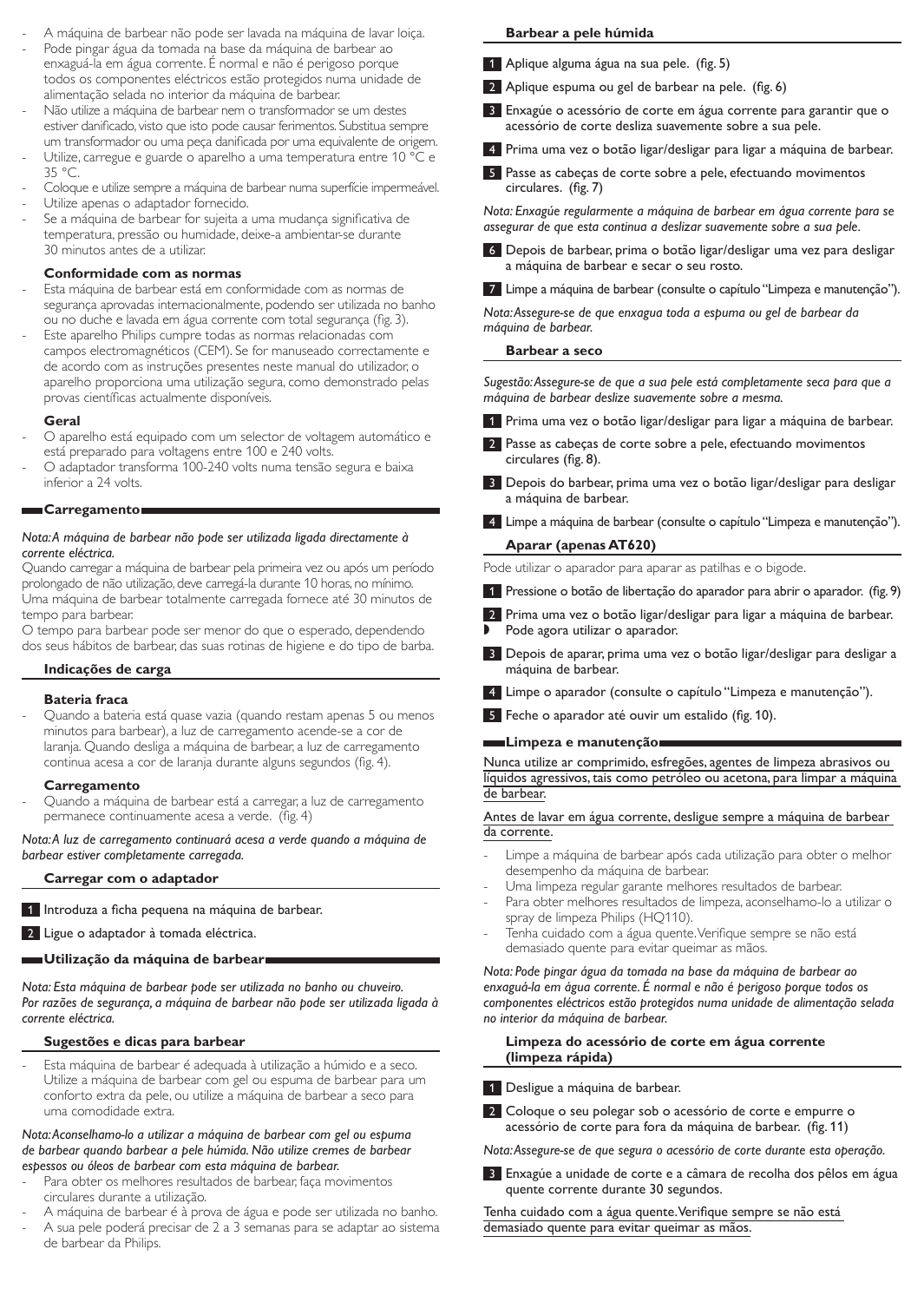- A máquina de barbear não pode ser lavada na máquina de lavar loiça.
- Pode pingar água da tomada na base da máquina de barbear ao enxaguá-la em água corrente. É normal e não é perigoso porque todos os componentes eléctricos estão protegidos numa unidade de alimentação selada no interior da máquina de barbear.
- Não utilize a máquina de barbear nem o transformador se um destes estiver danificado, visto que isto pode causar ferimentos. Substitua sempre um transformador ou uma peça danificada por uma equivalente de origem.
- Utilize, carregue e guarde o aparelho a uma temperatura entre 10 °C e 35 °C.
- Coloque e utilize sempre a máquina de barbear numa superfície impermeável. Utilize apenas o adaptador fornecido.
- Se a máquina de barbear for sujeita a uma mudança significativa de temperatura, pressão ou humidade, deixe-a ambientar-se durante 30 minutos antes de a utilizar.

### **Conformidade com as normas**

- Esta máquina de barbear está em conformidade com as normas de segurança aprovadas internacionalmente, podendo ser utilizada no banho ou no duche e lavada em água corrente com total segurança (fig. 3).
- Este aparelho Philips cumpre todas as normas relacionadas com campos electromagnéticos (CEM). Se for manuseado correctamente e de acordo com as instruções presentes neste manual do utilizador, o aparelho proporciona uma utilização segura, como demonstrado pelas provas científicas actualmente disponíveis.

### **Geral**

- O aparelho está equipado com um selector de voltagem automático e está preparado para voltagens entre 100 e 240 volts.
- O adaptador transforma 100-240 volts numa tensão segura e baixa inferior a 24 volts.

#### **Carregamento**

### *Nota: A máquina de barbear não pode ser utilizada ligada directamente à corrente eléctrica.*

Quando carregar a máquina de barbear pela primeira vez ou após um período prolongado de não utilização, deve carregá-la durante 10 horas, no mínimo. Uma máquina de barbear totalmente carregada fornece até 30 minutos de tempo para barbear.

O tempo para barbear pode ser menor do que o esperado, dependendo dos seus hábitos de barbear, das suas rotinas de higiene e do tipo de barba.

#### **Indicações de carga**

#### **Bateria fraca**

Quando a bateria está quase vazia (quando restam apenas 5 ou menos minutos para barbear), a luz de carregamento acende-se a cor de laranja. Quando desliga a máquina de barbear, a luz de carregamento continua acesa a cor de laranja durante alguns segundos (fig. 4).

#### **Carregamento**

- Quando a máquina de barbear está a carregar, a luz de carregamento permanece continuamente acesa a verde. (fig. 4)

*Nota: A luz de carregamento continuará acesa a verde quando a máquina de barbear estiver completamente carregada.*

### **Carregar com o adaptador**

1 Introduza a ficha pequena na máquina de barbear.

2 Ligue o adaptador à tomada eléctrica.

# **Utilização da máquina de barbear**

*Nota: Esta máquina de barbear pode ser utilizada no banho ou chuveiro. Por razões de segurança, a máquina de barbear não pode ser utilizada ligada à corrente eléctrica.*

### **Sugestões e dicas para barbear**

Esta máquina de barbear é adequada à utilização a húmido e a seco. Utilize a máquina de barbear com gel ou espuma de barbear para um conforto extra da pele, ou utilize a máquina de barbear a seco para uma comodidade extra.

*Nota: Aconselhamo-lo a utilizar a máquina de barbear com gel ou espuma de barbear quando barbear a pele húmida. Não utilize cremes de barbear espessos ou óleos de barbear com esta máquina de barbear.* 

- Para obter os melhores resultados de barbear, faça movimentos circulares durante a utilização.
- A máquina de barbear é à prova de água e pode ser utilizada no banho.
- A sua pele poderá precisar de 2 a 3 semanas para se adaptar ao sistema de barbear da Philips.

### **Barbear a pele húmida**

- 1 Aplique alguma água na sua pele. (fig. 5)
- 2 Aplique espuma ou gel de barbear na pele. (fig. 6)
- 3 Enxagúe o acessório de corte em água corrente para garantir que o acessório de corte desliza suavemente sobre a sua pele.
- 4 Prima uma vez o botão ligar/desligar para ligar a máquina de barbear.
- 5 Passe as cabeças de corte sobre a pele, efectuando movimentos circulares. (fig. 7)

*Nota: Enxagúe regularmente a máquina de barbear em água corrente para se assegurar de que esta continua a deslizar suavemente sobre a sua pele.*

6 Depois de barbear, prima o botão ligar/desligar uma vez para desligar a máquina de barbear e secar o seu rosto.

7 Limpe a máquina de barbear (consulte o capítulo "Limpeza e manutenção").

*Nota: Assegure-se de que enxagua toda a espuma ou gel de barbear da máquina de barbear.* 

## **Barbear a seco**

*Sugestão: Assegure-se de que a sua pele está completamente seca para que a máquina de barbear deslize suavemente sobre a mesma.*

- 1 Prima uma vez o botão ligar/desligar para ligar a máquina de barbear.
- 2 Passe as cabeças de corte sobre a pele, efectuando movimentos circulares (fig. 8).
- 3 Depois do barbear, prima uma vez o botão ligar/desligar para desligar a máquina de barbear.
- 4 Limpe a máquina de barbear (consulte o capítulo "Limpeza e manutenção"). **Aparar (apenas AT620)**

Pode utilizar o aparador para aparar as patilhas e o bigode.

- 1 Pressione o botão de libertação do aparador para abrir o aparador. (fig. 9)
- 2 Prima uma vez o botão ligar/desligar para ligar a máquina de barbear.
- Pode agora utilizar o aparador.
- 3 Depois de aparar, prima uma vez o botão ligar/desligar para desligar a máquina de barbear.
- 4 Limpe o aparador (consulte o capítulo "Limpeza e manutenção").
- 5 Feche o aparador até ouvir um estalido (fig. 10).

### **Limpeza e manutenção**

Nunca utilize ar comprimido, esfregões, agentes de limpeza abrasivos ou líquidos agressivos, tais como petróleo ou acetona, para limpar a máquina de barbear.

### Antes de lavar em água corrente, desligue sempre a máquina de barbear da corrente.

- Limpe a máquina de barbear após cada utilização para obter o melhor desempenho da máquina de barbear.
- Uma limpeza regular garante melhores resultados de barbear.
- Para obter melhores resultados de limpeza, aconselhamo-lo a utilizar o spray de limpeza Philips (HQ110).
- Tenha cuidado com a água quente. Verifique sempre se não está demasiado quente para evitar queimar as mãos.

*Nota: Pode pingar água da tomada na base da máquina de barbear ao enxaguá-la em água corrente. É normal e não é perigoso porque todos os componentes eléctricos estão protegidos numa unidade de alimentação selada no interior da máquina de barbear.*

### **Limpeza do acessório de corte em água corrente (limpeza rápida)**

- 1 Desligue a máquina de barbear.
- 2 Coloque o seu polegar sob o acessório de corte e empurre o acessório de corte para fora da máquina de barbear. (fig. 11)

*Nota: Assegure-se de que segura o acessório de corte durante esta operação.*

3 Enxagúe a unidade de corte e a câmara de recolha dos pêlos em água quente corrente durante 30 segundos.

Tenha cuidado com a água quente. Verifique sempre se não está demasiado quente para evitar queimar as mãos.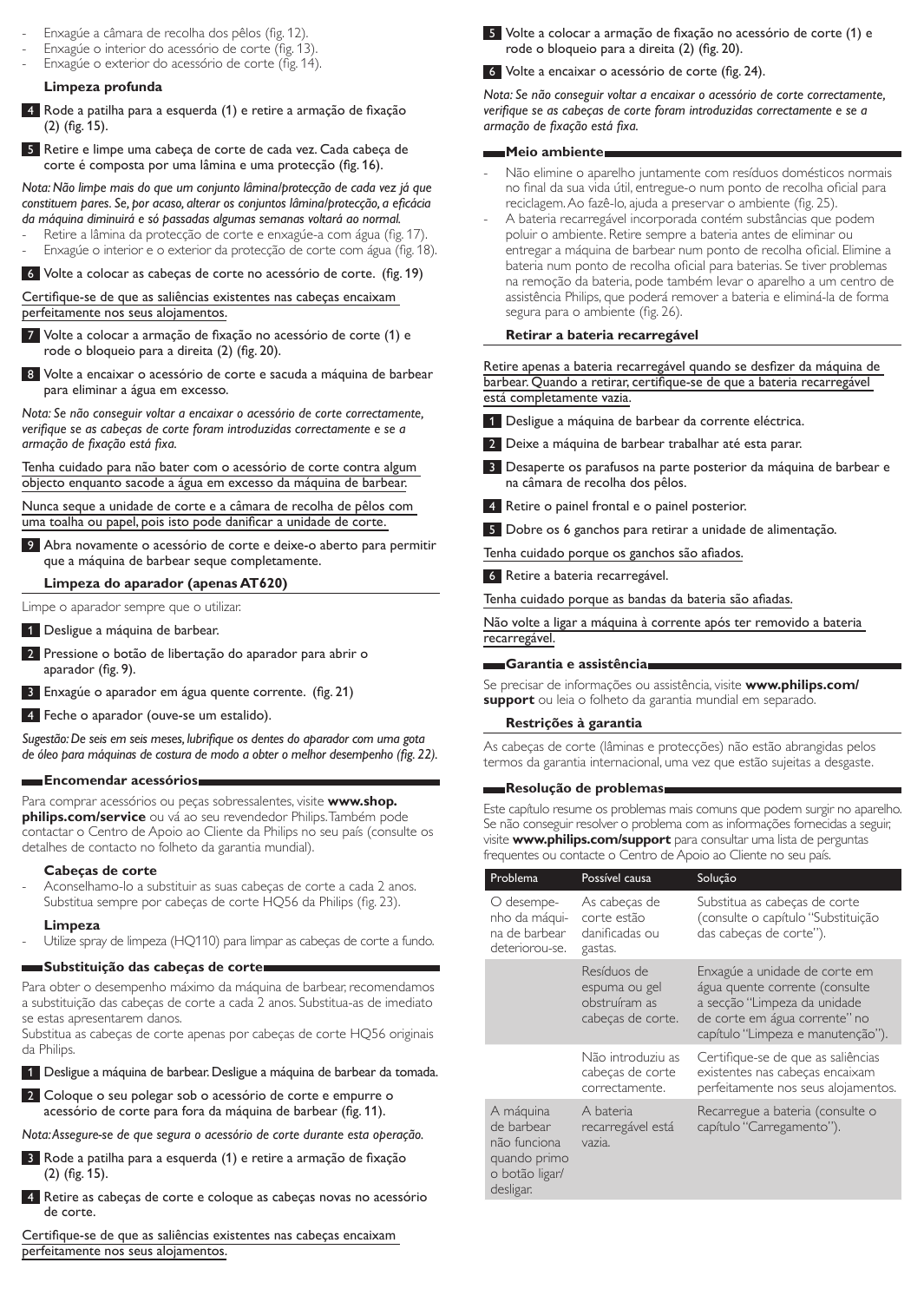- Enxagúe a câmara de recolha dos pêlos (fig. 12).
- Enxagúe o interior do acessório de corte (fig. 13).
- Enxagúe o exterior do acessório de corte (fig. 14).

### **Limpeza profunda**

- 4 Rode a patilha para a esquerda (1) e retire a armação de fixação (2) (fig. 15).
- 5 Retire e limpe uma cabeça de corte de cada vez. Cada cabeça de corte é composta por uma lâmina e uma protecção (fig. 16).

*Nota: Não limpe mais do que um conjunto lâmina/protecção de cada vez já que constituem pares. Se, por acaso, alterar os conjuntos lâmina/protecção, a eficácia da máquina diminuirá e só passadas algumas semanas voltará ao normal.*

- Retire a lâmina da protecção de corte e enxagúe-a com água (fig. 17)
- Enxagúe o interior e o exterior da protecção de corte com água (fig. 18).

6 Volte a colocar as cabeças de corte no acessório de corte. (fig. 19)

Certifique-se de que as saliências existentes nas cabeças encaixam perfeitamente nos seus alojamentos.

7 Volte a colocar a armação de fixação no acessório de corte (1) e rode o bloqueio para a direita (2) (fig. 20).

8 Volte a encaixar o acessório de corte e sacuda a máquina de barbear para eliminar a água em excesso.

*Nota: Se não conseguir voltar a encaixar o acessório de corte correctamente, verifique se as cabeças de corte foram introduzidas correctamente e se a armação de fixação está fixa.*

Tenha cuidado para não bater com o acessório de corte contra algum objecto enquanto sacode a água em excesso da máquina de barbear.

Nunca seque a unidade de corte e a câmara de recolha de pêlos com uma toalha ou papel, pois isto pode danificar a unidade de corte.

9 Abra novamente o acessório de corte e deixe-o aberto para permitir que a máquina de barbear seque completamente.

**Limpeza do aparador (apenas AT620)**

Limpe o aparador sempre que o utilizar.

- 1 Desligue a máquina de barbear.
- 2 Pressione o botão de libertação do aparador para abrir o aparador (fig. 9).
- 3 Enxagúe o aparador em água quente corrente. (fig. 21)
- 4 Feche o aparador (ouve-se um estalido).

*Sugestão: De seis em seis meses, lubrifique os dentes do aparador com uma gota de óleo para máquinas de costura de modo a obter o melhor desempenho (fig. 22).*

#### **Encomendar acessórios**

Para comprar acessórios ou peças sobressalentes, visite **www.shop. philips.com/service** ou vá ao seu revendedor Philips. Também pode contactar o Centro de Apoio ao Cliente da Philips no seu país (consulte os detalhes de contacto no folheto da garantia mundial).

#### **Cabeças de corte**

Aconselhamo-lo a substituir as suas cabeças de corte a cada 2 anos. Substitua sempre por cabeças de corte HQ56 da Philips (fig. 23).

#### **Limpeza**

Utilize spray de limpeza (HQ110) para limpar as cabeças de corte a fundo.

#### **Substituição das cabeças de corte**

Para obter o desempenho máximo da máquina de barbear, recomendamos a substituição das cabeças de corte a cada 2 anos. Substitua-as de imediato se estas apresentarem danos.

Substitua as cabeças de corte apenas por cabeças de corte HQ56 originais da Philips.

1 Desligue a máquina de barbear. Desligue a máquina de barbear da tomada.

2 Coloque o seu polegar sob o acessório de corte e empurre o acessório de corte para fora da máquina de barbear (fig. 11).

*Nota: Assegure-se de que segura o acessório de corte durante esta operação.*

- 3 Rode a patilha para a esquerda (1) e retire a armação de fixação (2) (fig. 15).
- 4 Retire as cabeças de corte e coloque as cabeças novas no acessório de corte.

Certifique-se de que as saliências existentes nas cabeças encaixam perfeitamente nos seus alojamentos.

5 Volte a colocar a armação de fixação no acessório de corte (1) e rode o bloqueio para a direita (2) (fig. 20).

6 Volte a encaixar o acessório de corte (fig. 24).

*Nota: Se não conseguir voltar a encaixar o acessório de corte correctamente, verifique se as cabeças de corte foram introduzidas correctamente e se a armação de fixação está fixa.*

#### **Meio ambiente**

- Não elimine o aparelho juntamente com resíduos domésticos normais no final da sua vida útil, entregue-o num ponto de recolha oficial para reciclagem. Ao fazê-lo, ajuda a preservar o ambiente (fig. 25).
- A bateria recarregável incorporada contém substâncias que podem poluir o ambiente. Retire sempre a bateria antes de eliminar ou entregar a máquina de barbear num ponto de recolha oficial. Elimine a bateria num ponto de recolha oficial para baterias. Se tiver problemas na remoção da bateria, pode também levar o aparelho a um centro de assistência Philips, que poderá remover a bateria e eliminá-la de forma segura para o ambiente (fig. 26).

#### **Retirar a bateria recarregável**

Retire apenas a bateria recarregável quando se desfizer da máquina de barbear. Quando a retirar, certifique-se de que a bateria recarregável está completamente vazia.

- 1 Desligue a máquina de barbear da corrente eléctrica.
- 2 Deixe a máquina de barbear trabalhar até esta parar.
- Desaperte os parafusos na parte posterior da máquina de barbear e na câmara de recolha dos pêlos.
- 4 Retire o painel frontal e o painel posterior.
- 5 Dobre os 6 ganchos para retirar a unidade de alimentação.

Tenha cuidado porque os ganchos são afiados.

6 Retire a bateria recarregável.

Tenha cuidado porque as bandas da bateria são afiadas.

Não volte a ligar a máquina à corrente após ter removido a bateria recarregável.

**Garantia e assistência**

Se precisar de informações ou assistência, visite **www.philips.com/ support** ou leia o folheto da garantia mundial em separado.

#### **Restrições à garantia**

As cabeças de corte (lâminas e protecções) não estão abrangidas pelos termos da garantia internacional, uma vez que estão sujeitas a desgaste.

#### **Resolução de problemas**

Este capítulo resume os problemas mais comuns que podem surgir no aparelho. Se não conseguir resolver o problema com as informações fornecidas a seguir, visite **www.philips.com/support** para consultar uma lista de perguntas frequentes ou contacte o Centro de Apoio ao Cliente no seu país.

| Problema                                                                               | Possível causa                                                     | Solução                                                                                                                                                               |
|----------------------------------------------------------------------------------------|--------------------------------------------------------------------|-----------------------------------------------------------------------------------------------------------------------------------------------------------------------|
| O desempe-<br>nho da máqui-<br>na de barbear<br>deteriorou-se.                         | As cabeças de<br>corte estão<br>danificadas ou<br>gastas.          | Substitua as cabeças de corte<br>(consulte o capítulo "Substituição<br>das cabeças de corte").                                                                        |
|                                                                                        | Resíduos de<br>espuma ou gel<br>obstruíram as<br>cabeças de corte. | Enxagúe a unidade de corte em<br>água quente corrente (consulte<br>a secção "Limpeza da unidade<br>de corte em água corrente" no<br>capítulo "Limpeza e manutenção"). |
|                                                                                        | Não introduziu as<br>cabeças de corte<br>correctamente.            | Certifique-se de que as saliências<br>existentes nas cabeças encaixam<br>perfeitamente nos seus alojamentos.                                                          |
| A máquina<br>de barbear<br>não funciona<br>quando primo<br>o botão ligar/<br>desligar. | A bateria<br>recarregável está<br>vazia.                           | Recarregue a bateria (consulte o<br>capítulo "Carregamento").                                                                                                         |